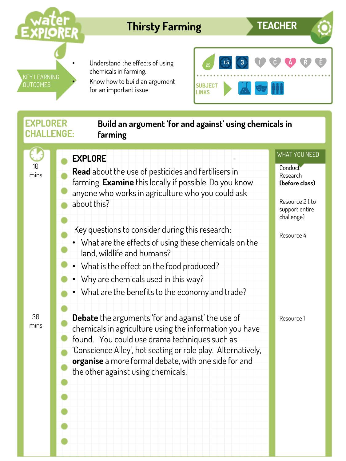